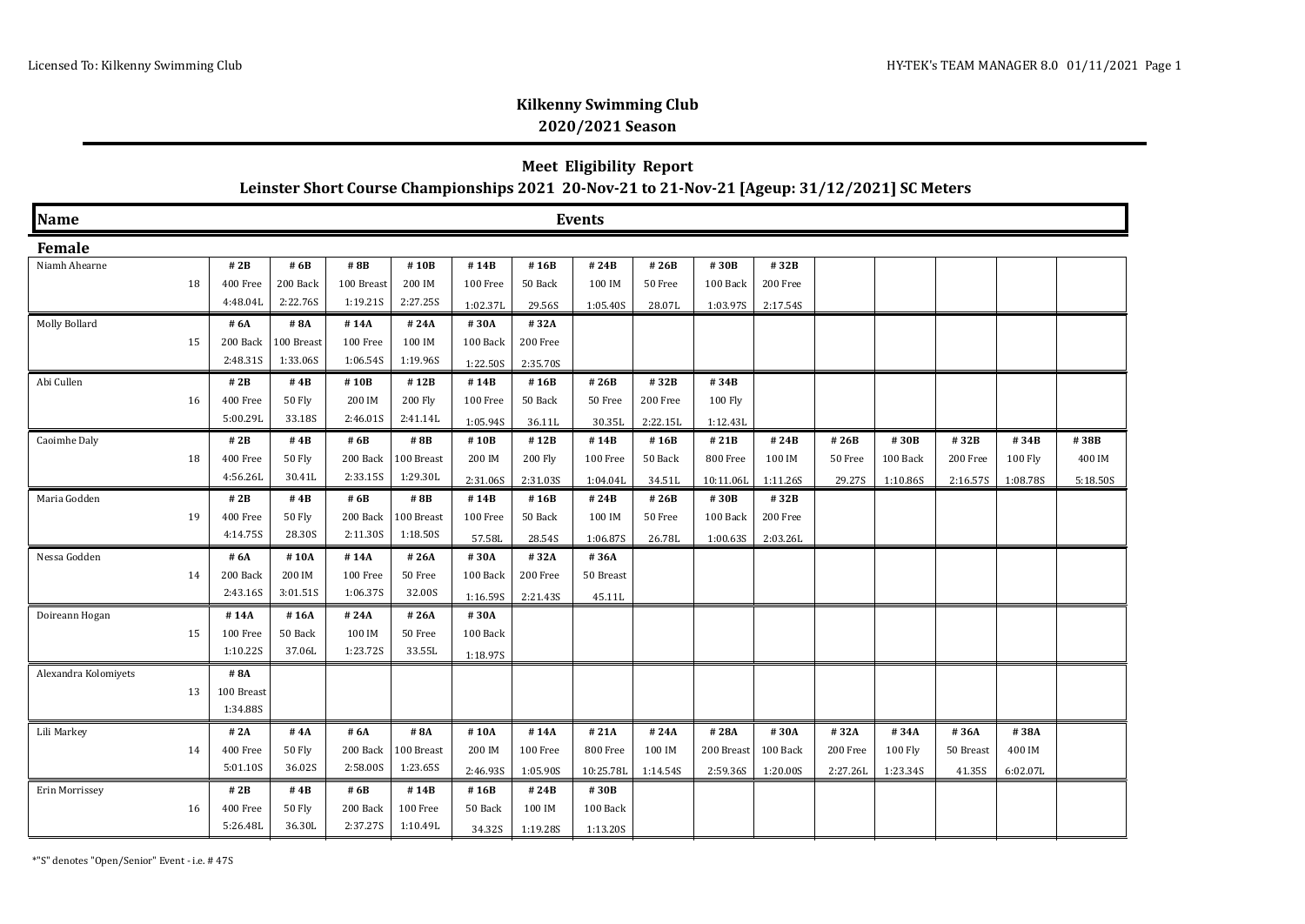### **Meet Eligibility Report Leinster Short Course Championships 2021 20-Nov-21 to 21-Nov-21 [Ageup: 31/12/2021] SC Meters**

| <b>Name</b>          | <b>Events</b> |            |            |            |            |                   |          |           |          |            |          |          |          |           |                |          |
|----------------------|---------------|------------|------------|------------|------------|-------------------|----------|-----------|----------|------------|----------|----------|----------|-----------|----------------|----------|
| Female               |               |            |            |            |            |                   |          |           |          |            |          |          |          |           |                |          |
| Niamh Ahearne        |               | #2B        | # 6B       | #8B        | #10B       | #14B              | #16B     | #24B      | #26B     | #30B       | #32B     |          |          |           |                |          |
|                      | 18            | 400 Free   | 200 Back   | 100 Breast | 200 IM     | 100 Free          | 50 Back  | 100 IM    | 50 Free  | 100 Back   | 200 Free |          |          |           |                |          |
|                      |               | 4:48.04L   | 2:22.76S   | 1:19.21S   | 2:27.25S   | 1:02.37L          | 29.56S   | 1:05.40S  | 28.07L   | 1:03.97S   | 2:17.54S |          |          |           |                |          |
| <b>Molly Bollard</b> |               | # 6A       | # 8A       | #14A       | #24A       | #30A              | #32A     |           |          |            |          |          |          |           |                |          |
|                      | 15            | 200 Back   | 100 Breast | 100 Free   | 100 IM     | 100 Back          | 200 Free |           |          |            |          |          |          |           |                |          |
|                      |               | 2:48.31S   | 1:33.06S   | 1:06.54S   | 1:19.96S   | 1:22.50S          | 2:35.70S |           |          |            |          |          |          |           |                |          |
| Abi Cullen           |               | # 2B       | #4B        | #10B       | #12B       | #14B              | #16B     | #26B      | #32B     | #34B       |          |          |          |           |                |          |
|                      | 16            | 400 Free   | 50 Fly     | 200 IM     | 200 Fly    | 100 Free          | 50 Back  | 50 Free   | 200 Free | 100 Fly    |          |          |          |           |                |          |
|                      |               | 5:00.29L   | 33.18S     | 2:46.01S   | 2:41.14L   | 1:05.94S          | 36.11L   | 30.35L    | 2:22.15L | 1:12.43L   |          |          |          |           |                |          |
| Caoimhe Daly         |               | #2B        | #4B        | # 6B       | # 8B       | #10B              | #12B     | #14B      | #16B     | #21B       | #24B     | # 26B    | #30B     | #32B      | #34B           | #38B     |
|                      | 18            | 400 Free   | 50 Fly     | 200 Back   | 100 Breast | 200 IM            | 200 Fly  | 100 Free  | 50 Back  | 800 Free   | 100 IM   | 50 Free  | 100 Back | 200 Free  | <b>100 Fly</b> | 400 IM   |
|                      |               | 4:56.26L   | 30.41L     | 2:33.15S   | 1:29.30L   | 2:31.06S          | 2:31.03S | 1:04.04L  | 34.51L   | 10:11.06L  | 1:11.26S | 29.27S   | 1:10.86S | 2:16.57S  | 1:08.78S       | 5:18.50S |
| Maria Godden         |               | # 2B       | # $4B$     | # 6B       | # 8B       | #14B              | #16B     | #24B      | #26B     | #30B       | #32B     |          |          |           |                |          |
|                      | 19            | 400 Free   | 50 Fly     | 200 Back   | 100 Breast | 100 Free          | 50 Back  | 100 IM    | 50 Free  | 100 Back   | 200 Free |          |          |           |                |          |
|                      |               | 4:14.75S   | 28.30S     | 2:11.30S   | 1:18.505   | 57.58L            | 28.54S   | 1:06.87S  | 26.78L   | 1:00.63S   | 2:03.26L |          |          |           |                |          |
| Nessa Godden         |               | # 6A       | #10A       | #14A       | #26A       | #30A              | #32A     | #36A      |          |            |          |          |          |           |                |          |
|                      | 14            | 200 Back   | 200 IM     | 100 Free   | 50 Free    | $100\text{ Back}$ | 200 Free | 50 Breast |          |            |          |          |          |           |                |          |
|                      |               | 2:43.16S   | 3:01.51S   | 1:06.37S   | 32.00S     | 1:16.59S          | 2:21.43S | 45.11L    |          |            |          |          |          |           |                |          |
| Doireann Hogan       |               | #14A       | #16A       | #24A       | #26A       | #30A              |          |           |          |            |          |          |          |           |                |          |
|                      | 15            | 100 Free   | 50 Back    | 100 IM     | 50 Free    | 100 Back          |          |           |          |            |          |          |          |           |                |          |
|                      |               | 1:10.22S   | 37.06L     | 1:23.72S   | 33.55L     | 1:18.97S          |          |           |          |            |          |          |          |           |                |          |
| Alexandra Kolomiyets |               | #8A        |            |            |            |                   |          |           |          |            |          |          |          |           |                |          |
|                      | 13            | 100 Breast |            |            |            |                   |          |           |          |            |          |          |          |           |                |          |
|                      |               | 1:34.88S   |            |            |            |                   |          |           |          |            |          |          |          |           |                |          |
| Lili Markey          |               | # 2A       | #4A        | # 6A       | # 8A       | #10A              | #14A     | #21A      | #24A     | #28A       | #30A     | #32A     | #34A     | #36A      | #38A           |          |
|                      | 14            | 400 Free   | 50 Fly     | 200 Back   | 100 Breast | 200 IM            | 100 Free | 800 Free  | 100 IM   | 200 Breast | 100 Back | 200 Free | 100 Fly  | 50 Breast | 400 IM         |          |
|                      |               | 5:01.10S   | 36.02S     | 2:58.00S   | 1:23.655   | 2:46.93S          | 1:05.90S | 10:25.78L | 1:14.54S | 2:59.36S   | 1:20.00S | 2:27.26L | 1:23.345 | 41.35S    | 6:02.07L       |          |
| Erin Morrissey       |               | #2B        | #4B        | # 6B       | # 14B      | #16B              | #24B     | #30B      |          |            |          |          |          |           |                |          |
|                      | 16            | 400 Free   | 50 Fly     | 200 Back   | 100 Free   | 50 Back           | 100 IM   | 100 Back  |          |            |          |          |          |           |                |          |
|                      |               | 5:26.48L   | 36.30L     | 2:37.27S   | 1:10.49L   | 34.32S            | 1:19.28S | 1:13.20S  |          |            |          |          |          |           |                |          |

\*"S" denotes "Open/Senior" Event - i.e. # 47S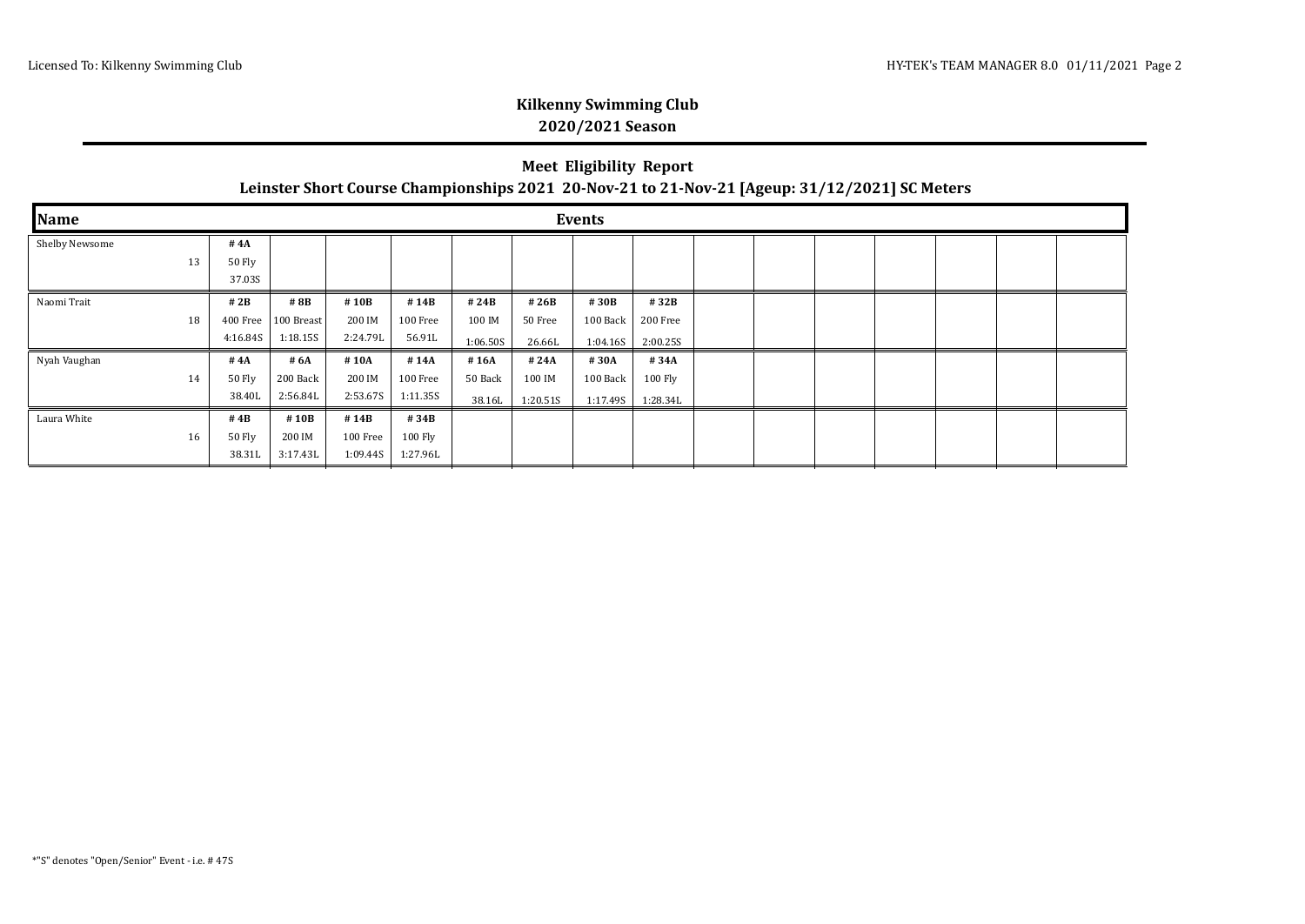| <b>Meet Eligibility Report</b>                                                                |
|-----------------------------------------------------------------------------------------------|
| Leinster Short Course Championships 2021 20-Nov-21 to 21-Nov-21 [Ageup: 31/12/2021] SC Meters |

| Name           | <b>Events</b> |                  |            |          |          |          |          |          |          |  |  |  |  |  |  |  |
|----------------|---------------|------------------|------------|----------|----------|----------|----------|----------|----------|--|--|--|--|--|--|--|
| Shelby Newsome |               | #4A              |            |          |          |          |          |          |          |  |  |  |  |  |  |  |
|                | 13            | 50 Fly<br>37.03S |            |          |          |          |          |          |          |  |  |  |  |  |  |  |
| Naomi Trait    |               | #2B              | # 8B       | #10B     | #14B     | #24B     | #26B     | #30B     | #32B     |  |  |  |  |  |  |  |
|                | 18            | 400 Free         | 100 Breast | 200 IM   | 100 Free | 100 IM   | 50 Free  | 100 Back | 200 Free |  |  |  |  |  |  |  |
|                |               | 4:16.84S         | 1:18.15S   | 2:24.79L | 56.91L   | 1:06.50S | 26.66L   | 1:04.16S | 2:00.25S |  |  |  |  |  |  |  |
| Nyah Vaughan   |               | # $4A$           | # 6A       | #10A     | #14A     | #16A     | #24A     | #30A     | #34A     |  |  |  |  |  |  |  |
|                | 14            | 50 Fly           | 200 Back   | 200 IM   | 100 Free | 50 Back  | 100 IM   | 100 Back | 100 Fly  |  |  |  |  |  |  |  |
|                |               | 38.40L           | 2:56.84L   | 2:53.67S | 1:11.35S | 38.16L   | 1:20.515 | 1:17.49S | 1:28.34L |  |  |  |  |  |  |  |
| Laura White    |               | #4B              | #10B       | #14B     | #34B     |          |          |          |          |  |  |  |  |  |  |  |
|                | 16            | 50 Fly           | 200 IM     | 100 Free | 100 Fly  |          |          |          |          |  |  |  |  |  |  |  |
|                |               | 38.31L           | 3:17.43L   | 1:09.44S | 1:27.96L |          |          |          |          |  |  |  |  |  |  |  |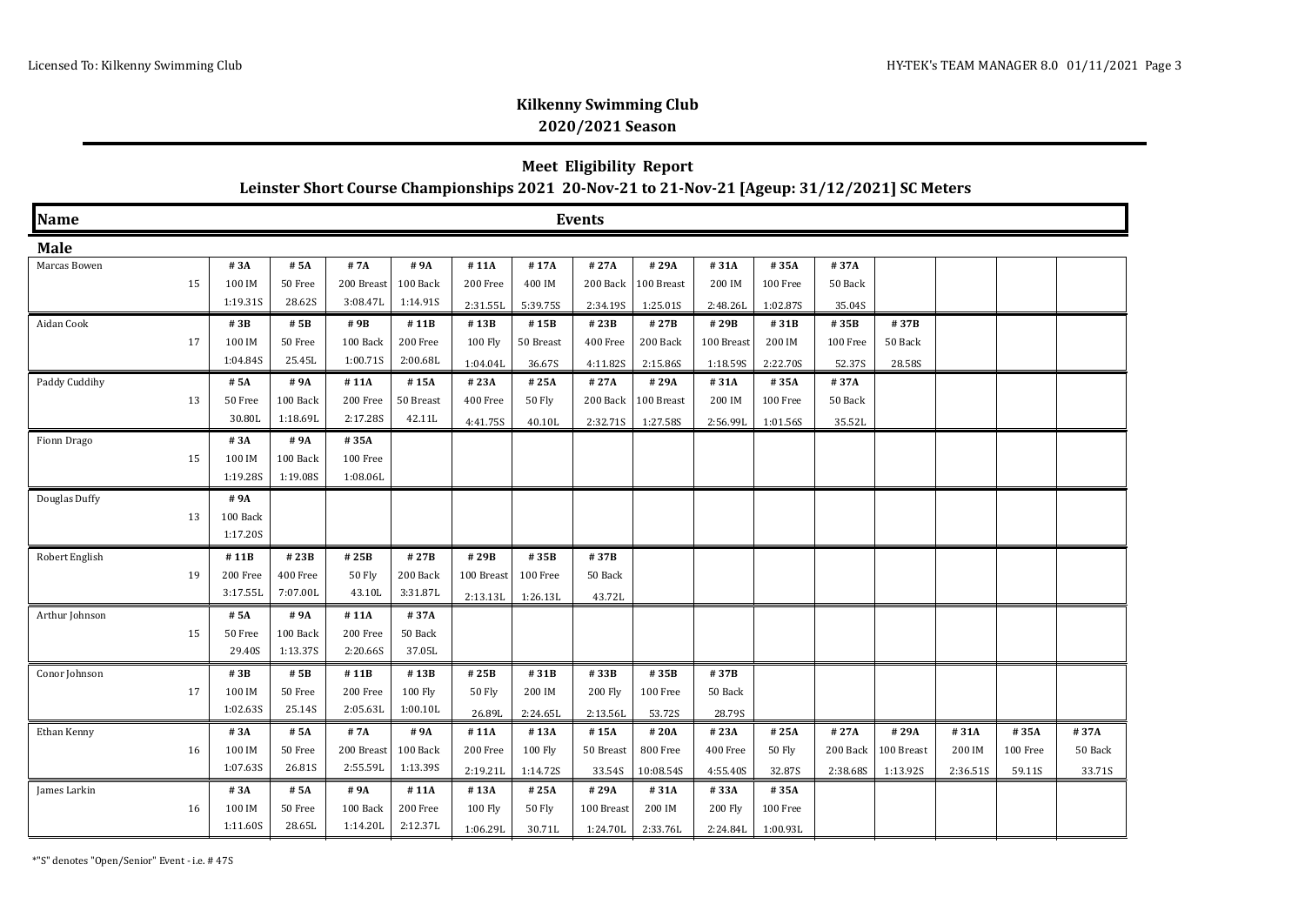### **Meet Eligibility Report Leinster Short Course Championships 2021 20-Nov-21 to 21-Nov-21 [Ageup: 31/12/2021] SC Meters**

| Name           | <b>Events</b> |          |          |               |           |               |               |            |            |            |          |          |            |          |          |         |
|----------------|---------------|----------|----------|---------------|-----------|---------------|---------------|------------|------------|------------|----------|----------|------------|----------|----------|---------|
| <b>Male</b>    |               |          |          |               |           |               |               |            |            |            |          |          |            |          |          |         |
| Marcas Bowen   |               | # 3A     | # 5A     | #7A           | # 9A      | #11A          | #17A          | #27A       | #29A       | #31A       | #35A     | #37A     |            |          |          |         |
|                | 15            | 100 IM   | 50 Free  | 200 Breast    | 100 Back  | 200 Free      | 400 IM        | 200 Back   | 100 Breast | 200 IM     | 100 Free | 50 Back  |            |          |          |         |
|                |               | 1:19.31S | 28.62S   | 3:08.47L      | 1:14.91S  | 2:31.55L      | 5:39.75S      | 2:34.19S   | 1:25.01S   | 2:48.26L   | 1:02.87S | 35.04S   |            |          |          |         |
| Aidan Cook     |               | #3B      | # 5B     | #9B           | #11B      | #13B          | #15B          | #23B       | #27B       | #29B       | #31B     | #35B     | #37B       |          |          |         |
|                | 17            | 100 IM   | 50 Free  | 100 Back      | 200 Free  | 100 Fly       | 50 Breast     | 400 Free   | 200 Back   | 100 Breast | 200 IM   | 100 Free | 50 Back    |          |          |         |
|                |               | 1:04.84S | 25.45L   | 1:00.71S      | 2:00.68L  | 1:04.04L      | 36.67S        | 4:11.82S   | 2:15.86S   | 1:18.595   | 2:22.70S | 52.37S   | 28.58S     |          |          |         |
| Paddy Cuddihy  |               | # 5A     | # 9A     | #11A          | #15A      | # 23A         | #25A          | #27A       | #29A       | #31A       | #35A     | #37A     |            |          |          |         |
|                | 13            | 50 Free  | 100 Back | 200 Free      | 50 Breast | 400 Free      | 50 Fly        | 200 Back   | 100 Breast | 200 IM     | 100 Free | 50 Back  |            |          |          |         |
|                |               | 30.80L   | 1:18.69L | 2:17.28S      | 42.11L    | 4:41.75S      | 40.10L        | 2:32.715   | 1:27.58S   | 2:56.99L   | 1:01.56S | 35.52L   |            |          |          |         |
| Fionn Drago    |               | #3A      | # 9A     | #35A          |           |               |               |            |            |            |          |          |            |          |          |         |
|                | 15            | 100 IM   | 100 Back | 100 Free      |           |               |               |            |            |            |          |          |            |          |          |         |
|                |               | 1:19.28S | 1:19.08S | 1:08.06L      |           |               |               |            |            |            |          |          |            |          |          |         |
| Douglas Duffy  |               | #9A      |          |               |           |               |               |            |            |            |          |          |            |          |          |         |
|                | 13            | 100 Back |          |               |           |               |               |            |            |            |          |          |            |          |          |         |
|                |               | 1:17.20S |          |               |           |               |               |            |            |            |          |          |            |          |          |         |
| Robert English |               | #11B     | #23B     | #25B          | #27B      | #29B          | #35B          | #37B       |            |            |          |          |            |          |          |         |
|                | 19            | 200 Free | 400 Free | <b>50 Fly</b> | 200 Back  | 100 Breast    | 100 Free      | 50 Back    |            |            |          |          |            |          |          |         |
|                |               | 3:17.55L | 7:07.00L | 43.10L        | 3:31.87L  | 2:13.13L      | 1:26.13L      | 43.72L     |            |            |          |          |            |          |          |         |
| Arthur Johnson |               | # 5A     | #9A      | #11A          | #37A      |               |               |            |            |            |          |          |            |          |          |         |
|                | 15            | 50 Free  | 100 Back | 200 Free      | 50 Back   |               |               |            |            |            |          |          |            |          |          |         |
|                |               | 29.40S   | 1:13.37S | 2:20.66S      | 37.05L    |               |               |            |            |            |          |          |            |          |          |         |
| Conor Johnson  |               | #3B      | # 5B     | #11B          | #13B      | #25B          | #31B          | #33B       | #35B       | #37B       |          |          |            |          |          |         |
|                | 17            | 100 IM   | 50 Free  | 200 Free      | 100 Fly   | <b>50 Fly</b> | 200 IM        | 200 Fly    | 100 Free   | 50 Back    |          |          |            |          |          |         |
|                |               | 1:02.63S | 25.14S   | 2:05.63L      | 1:00.10L  | 26.89L        | 2:24.65L      | 2:13.56L   | 53.72S     | 28.79S     |          |          |            |          |          |         |
| Ethan Kenny    |               | #3A      | # 5A     | #7A           | #9A       | #11A          | #13A          | #15A       | #20A       | #23A       | #25A     | #27A     | #29A       | #31A     | #35A     | #37A    |
|                | 16            | 100 IM   | 50 Free  | 200 Breast    | 100 Back  | 200 Free      | 100 Fly       | 50 Breast  | 800 Free   | 400 Free   | 50 Fly   | 200 Back | 100 Breast | 200 IM   | 100 Free | 50 Back |
|                |               | 1:07.63S | 26.81S   | 2:55.59L      | 1:13.39S  | 2:19.21L      | 1:14.72S      | 33.54S     | 10:08.545  | 4:55.40S   | 32.87S   | 2:38.68S | 1:13.92S   | 2:36.51S | 59.11S   | 33.71S  |
| James Larkin   |               | #3A      | # 5A     | #9A           | #11A      | #13A          | #25A          | #29A       | #31A       | #33A       | #35A     |          |            |          |          |         |
|                | 16            | 100 IM   | 50 Free  | 100 Back      | 200 Free  | 100 Fly       | <b>50 Fly</b> | 100 Breast | 200 IM     | 200 Fly    | 100 Free |          |            |          |          |         |
|                |               | 1:11.60S | 28.65L   | 1:14.20L      | 2:12.37L  | 1:06.29L      | 30.71L        | 1:24.70L   | 2:33.76L   | 2:24.84L   | 1:00.93L |          |            |          |          |         |

\*"S" denotes "Open/Senior" Event - i.e. # 47S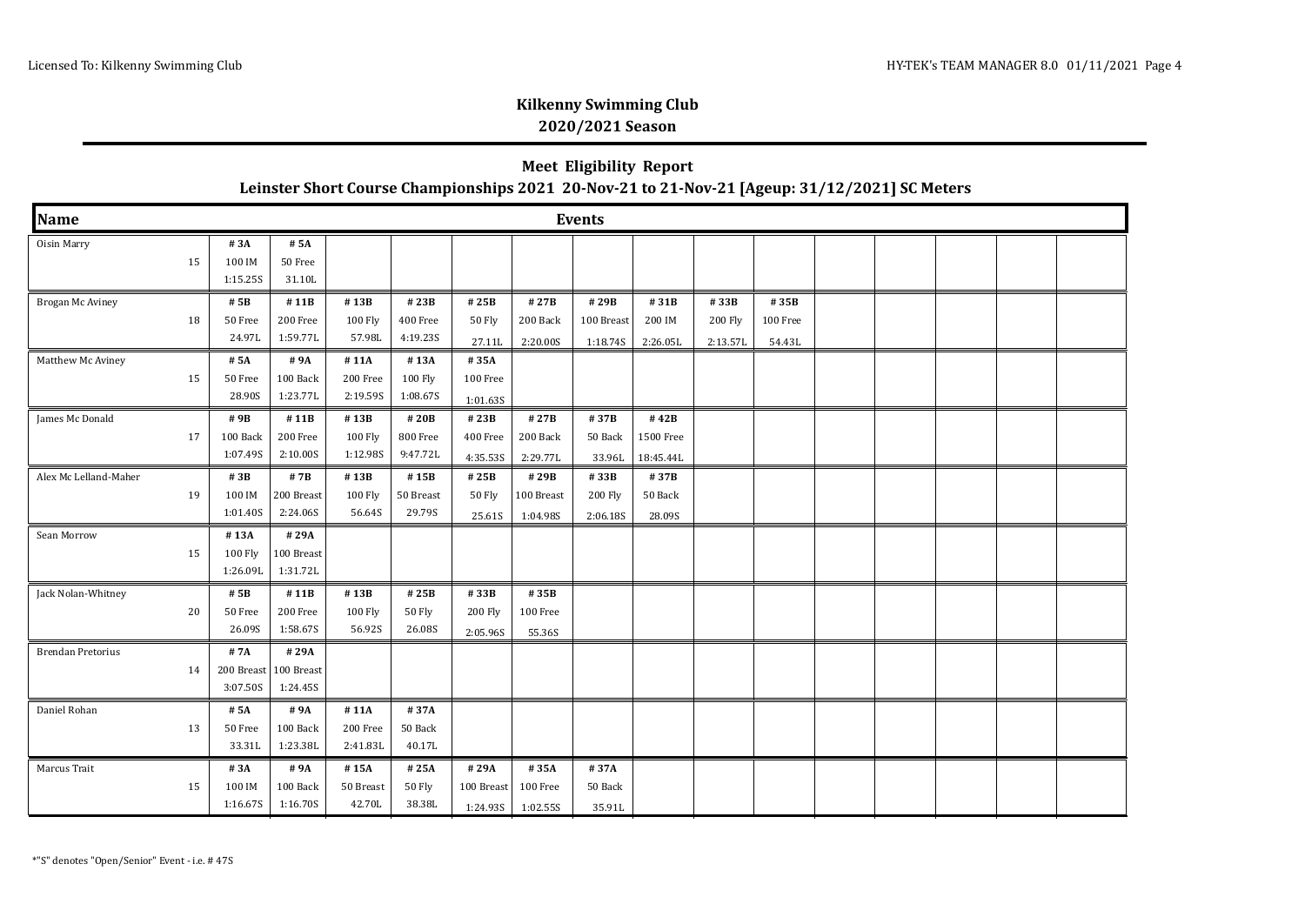| <b>Meet Eligibility Report</b>                                                                |
|-----------------------------------------------------------------------------------------------|
| Leinster Short Course Championships 2021 20-Nov-21 to 21-Nov-21 [Ageup: 31/12/2021] SC Meters |

| Name                     |    |                               |                                |                              |                                 |                                      |                                | <b>Events</b>                  |                                |                             |                            |  |  |  |
|--------------------------|----|-------------------------------|--------------------------------|------------------------------|---------------------------------|--------------------------------------|--------------------------------|--------------------------------|--------------------------------|-----------------------------|----------------------------|--|--|--|
| Oisin Marry              | 15 | #3A<br>100 IM<br>1:15.25S     | # 5A<br>50 Free<br>31.10L      |                              |                                 |                                      |                                |                                |                                |                             |                            |  |  |  |
| Brogan Mc Aviney         | 18 | # 5B<br>50 Free<br>24.97L     | #11B<br>200 Free<br>1:59.77L   | #13B<br>100 Fly<br>57.98L    | #23B<br>400 Free<br>4:19.23S    | #25B<br>50 Fly<br>27.11L             | #27B<br>200 Back<br>2:20.00S   | #29B<br>100 Breast<br>1:18.74S | #31B<br>200 IM<br>2:26.05L     | #33B<br>200 Fly<br>2:13.57L | #35B<br>100 Free<br>54.43L |  |  |  |
| Matthew Mc Aviney        | 15 | # 5A<br>50 Free<br>28.90S     | #9A<br>100 Back<br>1:23.77L    | #11A<br>200 Free<br>2:19.59S | #13A<br>100 Fly<br>1:08.67S     | #35A<br>$100\ \rm{Free}$<br>1:01.635 |                                |                                |                                |                             |                            |  |  |  |
| James Mc Donald          | 17 | #9B<br>100 Back<br>1:07.49S   | #11B<br>200 Free<br>2:10.00S   | #13B<br>100 Fly<br>1:12.98S  | #20B<br>800 Free<br>9:47.72L    | #23B<br>400 Free<br>4:35.53S         | #27B<br>200 Back<br>2:29.77L   | #37B<br>50 Back<br>33.96L      | #42B<br>1500 Free<br>18:45.44L |                             |                            |  |  |  |
| Alex Mc Lelland-Maher    | 19 | #3B<br>100 IM<br>1:01.40S     | # 7B<br>200 Breast<br>2:24.06S | #13B<br>100 Fly<br>56.64S    | #15B<br>50 Breast<br>29.79S     | #25B<br>50 Fly<br>25.61S             | #29B<br>100 Breast<br>1:04.98S | #33B<br>200 Fly<br>2:06.18S    | #37B<br>50 Back<br>28.09S      |                             |                            |  |  |  |
| Sean Morrow              | 15 | #13A<br>100 Fly<br>1:26.09L   | #29A<br>100 Breast<br>1:31.72L |                              |                                 |                                      |                                |                                |                                |                             |                            |  |  |  |
| Jack Nolan-Whitney       | 20 | # 5B<br>50 Free<br>26.09S     | #11B<br>200 Free<br>1:58.67S   | #13B<br>100 Fly<br>56.92S    | #25B<br><b>50 Fly</b><br>26.08S | #33B<br>200 Fly<br>2:05.96S          | #35B<br>100 Free<br>55.36S     |                                |                                |                             |                            |  |  |  |
| <b>Brendan Pretorius</b> | 14 | #7A<br>200 Breast<br>3:07.50S | #29A<br>100 Breast<br>1:24.45S |                              |                                 |                                      |                                |                                |                                |                             |                            |  |  |  |
| Daniel Rohan             | 13 | # 5A<br>50 Free<br>33.31L     | #9A<br>100 Back<br>1:23.38L    | #11A<br>200 Free<br>2:41.83L | #37A<br>50 Back<br>40.17L       |                                      |                                |                                |                                |                             |                            |  |  |  |
| Marcus Trait             | 15 | #3A<br>100 IM<br>1:16.67S     | #9A<br>100 Back<br>1:16.70S    | #15A<br>50 Breast<br>42.70L  | #25A<br>50 Fly<br>38.38L        | #29A<br>100 Breast<br>1:24.935       | #35A<br>100 Free<br>1:02.55S   | #37A<br>50 Back<br>35.91L      |                                |                             |                            |  |  |  |